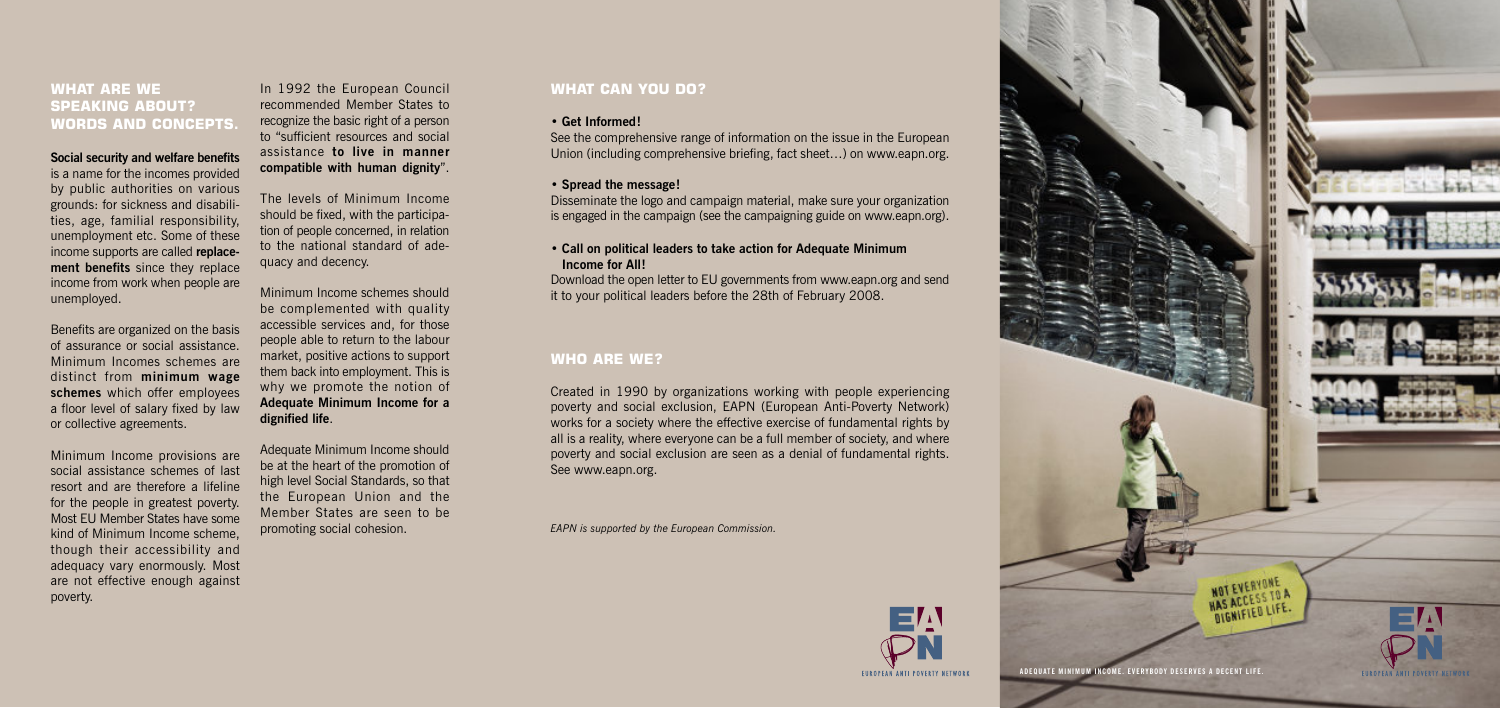## **WHAT CAN YOU DO?**

#### **• Get Informed!**

See the comprehensive range of information on the issue in the European Union (including comprehensive briefing, fact sheet…) on www.eapn.org.

#### **• Spread the message!**

Disseminate the logo and campaign material, make sure your organization is engaged in the campaign (see the campaigning guide on www.eapn.org).

## **• Call on political leaders to take action for Adequate Minimum Income for All!**

Download the open letter to EU governments from www.eapn.org and send it to your political leaders before the 28th of February 2008.

# **WHO ARE WE?**

Created in 1990 by organizations working with people experiencing poverty and social exclusion, EAPN (European Anti-Poverty Network) works for a society where the effective exercise of fundamental rights by all is a reality, where everyone can be a full member of society, and where poverty and social exclusion are seen as a denial of fundamental rights. See www.eapn.org.

*EAPN is supported by the European Commission.*



## **WHAT ARE WE SPEAKING ABOUT? WORDS AND CONCEPTS.**

#### **Social security and welfare benefits**

is a name for the incomes provided by public authorities on various grounds: for sickness and disabilities, age, familial responsibility, unemployment etc. Some of these income supports are called **replacement benefits** since they replace income from work when people are unemployed.

Benefits are organized on the basis of assurance or social assistance. Minimum Incomes schemes are distinct from **minimum wage schemes** which offer employees a floor level of salary fixed by law or collective agreements.

Minimum Income provisions are social assistance schemes of last resort and are therefore a lifeline for the people in greatest poverty. Most EU Member States have some kind of Minimum Income scheme, though their accessibility and adequacy vary enormously. Most are not effective enough against poverty.

In 1992 the European Council recommended Member States to recognize the basic right of a person to "sufficient resources and social assistance **to live in manner compatible with human dignity**".

The levels of Minimum Income should be fixed, with the participation of people concerned, in relation to the national standard of adequacy and decency.

Minimum Income schemes should be complemented with quality accessible services and, for those people able to return to the labour market, positive actions to support them back into employment. This is why we promote the notion of **Adequate Minimum Income for a dignified life**.

Adequate Minimum Income should be at the heart of the promotion of high level Social Standards, so that the European Union and the Member States are seen to be promoting social cohesion.



NOT EVERYONE **NOT EVERTOR NATION HAS ACCES LIFE.**